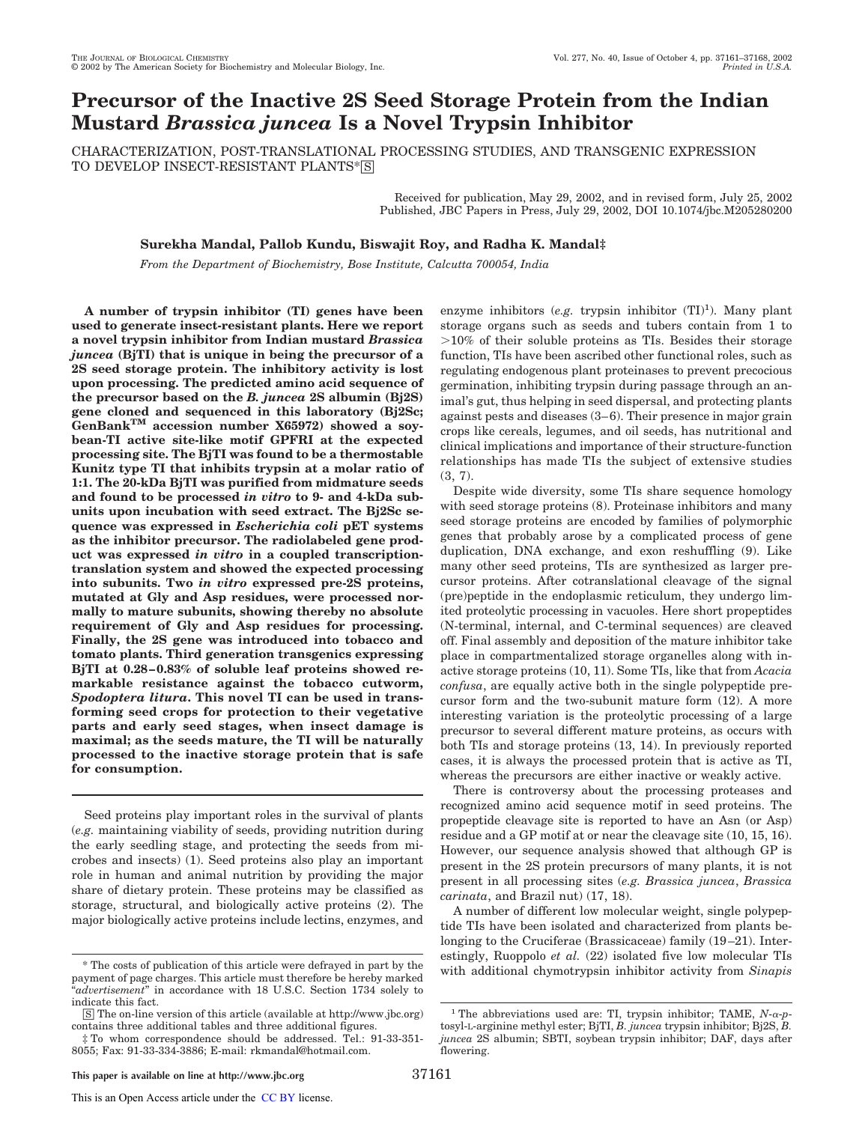# **Precursor of the Inactive 2S Seed Storage Protein from the Indian Mustard** *Brassica juncea* **Is a Novel Trypsin Inhibitor**

CHARACTERIZATION, POST-TRANSLATIONAL PROCESSING STUDIES, AND TRANSGENIC EXPRESSION TO DEVELOP INSECT-RESISTANT PLANTS\*[S]

> Received for publication, May 29, 2002, and in revised form, July 25, 2002 Published, JBC Papers in Press, July 29, 2002, DOI 10.1074/jbc.M205280200

# **Surekha Mandal, Pallob Kundu, Biswajit Roy, and Radha K. Mandal‡**

*From the Department of Biochemistry, Bose Institute, Calcutta 700054, India*

**A number of trypsin inhibitor (TI) genes have been used to generate insect-resistant plants. Here we report a novel trypsin inhibitor from Indian mustard** *Brassica juncea* **(BjTI) that is unique in being the precursor of a 2S seed storage protein. The inhibitory activity is lost upon processing. The predicted amino acid sequence of the precursor based on the** *B. juncea* **2S albumin (Bj2S) gene cloned and sequenced in this laboratory (Bj2Sc; GenBankTM accession number X65972) showed a soybean-TI active site-like motif GPFRI at the expected processing site. The BjTI was found to be a thermostable Kunitz type TI that inhibits trypsin at a molar ratio of 1:1. The 20-kDa BjTI was purified from midmature seeds and found to be processed** *in vitro* **to 9- and 4-kDa subunits upon incubation with seed extract. The Bj2Sc sequence was expressed in** *Escherichia coli* **pET systems as the inhibitor precursor. The radiolabeled gene product was expressed** *in vitro* **in a coupled transcriptiontranslation system and showed the expected processing into subunits. Two** *in vitro* **expressed pre-2S proteins, mutated at Gly and Asp residues, were processed normally to mature subunits, showing thereby no absolute requirement of Gly and Asp residues for processing. Finally, the 2S gene was introduced into tobacco and tomato plants. Third generation transgenics expressing BjTI at 0.28–0.83% of soluble leaf proteins showed remarkable resistance against the tobacco cutworm,** *Spodoptera litura***. This novel TI can be used in transforming seed crops for protection to their vegetative parts and early seed stages, when insect damage is maximal; as the seeds mature, the TI will be naturally processed to the inactive storage protein that is safe for consumption.**

Seed proteins play important roles in the survival of plants (*e.g.* maintaining viability of seeds, providing nutrition during the early seedling stage, and protecting the seeds from microbes and insects) (1). Seed proteins also play an important role in human and animal nutrition by providing the major share of dietary protein. These proteins may be classified as storage, structural, and biologically active proteins (2). The major biologically active proteins include lectins, enzymes, and

enzyme inhibitors  $(e.g.$  trypsin inhibitor  $(TI)^1$ ). Many plant storage organs such as seeds and tubers contain from 1 to  $>10\%$  of their soluble proteins as TIs. Besides their storage function, TIs have been ascribed other functional roles, such as regulating endogenous plant proteinases to prevent precocious germination, inhibiting trypsin during passage through an animal's gut, thus helping in seed dispersal, and protecting plants against pests and diseases (3–6). Their presence in major grain crops like cereals, legumes, and oil seeds, has nutritional and clinical implications and importance of their structure-function relationships has made TIs the subject of extensive studies (3, 7).

Despite wide diversity, some TIs share sequence homology with seed storage proteins (8). Proteinase inhibitors and many seed storage proteins are encoded by families of polymorphic genes that probably arose by a complicated process of gene duplication, DNA exchange, and exon reshuffling (9). Like many other seed proteins, TIs are synthesized as larger precursor proteins. After cotranslational cleavage of the signal (pre)peptide in the endoplasmic reticulum, they undergo limited proteolytic processing in vacuoles. Here short propeptides (N-terminal, internal, and C-terminal sequences) are cleaved off. Final assembly and deposition of the mature inhibitor take place in compartmentalized storage organelles along with inactive storage proteins (10, 11). Some TIs, like that from *Acacia confusa*, are equally active both in the single polypeptide precursor form and the two-subunit mature form (12). A more interesting variation is the proteolytic processing of a large precursor to several different mature proteins, as occurs with both TIs and storage proteins (13, 14). In previously reported cases, it is always the processed protein that is active as TI, whereas the precursors are either inactive or weakly active.

There is controversy about the processing proteases and recognized amino acid sequence motif in seed proteins. The propeptide cleavage site is reported to have an Asn (or Asp) residue and a GP motif at or near the cleavage site (10, 15, 16). However, our sequence analysis showed that although GP is present in the 2S protein precursors of many plants, it is not present in all processing sites (*e.g. Brassica juncea*, *Brassica carinata*, and Brazil nut) (17, 18).

A number of different low molecular weight, single polypeptide TIs have been isolated and characterized from plants belonging to the Cruciferae (Brassicaceae) family (19–21). Interestingly, Ruoppolo *et al.* (22) isolated five low molecular TIs The costs of publication of this article were defrayed in part by the with additional chymotrypsin inhibitor activity from *Sinapis* were the costs of publication of this article were defrayed in part by the with additiona

payment of page charges. This article must therefore be hereby marked "*advertisement*" in accordance with 18 U.S.C. Section 1734 solely to indicate this fact.

<sup>□</sup>S The on-line version of this article (available at http://www.jbc.org) contains three additional tables and three additional figures.

<sup>‡</sup> To whom correspondence should be addressed. Tel.: 91-33-351- 8055; Fax: 91-33-334-3886; E-mail: rkmandal@hotmail.com.

<sup>&</sup>lt;sup>1</sup> The abbreviations used are: TI, trypsin inhibitor; TAME,  $N$ - $\alpha$ - $p$ tosyl-L-arginine methyl ester; BjTI, *B. juncea* trypsin inhibitor; Bj2S, *B. juncea* 2S albumin; SBTI, soybean trypsin inhibitor; DAF, days after flowering.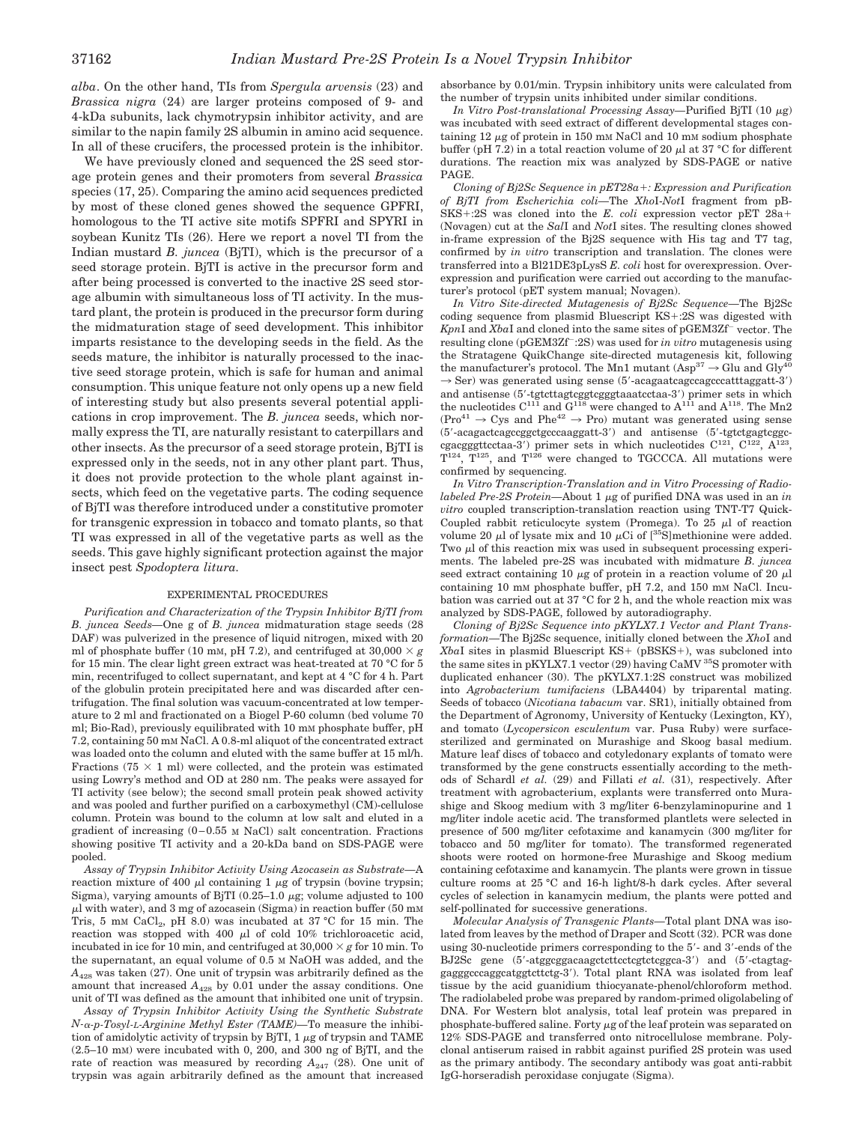*alba*. On the other hand, TIs from *Spergula arvensis* (23) and *Brassica nigra* (24) are larger proteins composed of 9- and 4-kDa subunits, lack chymotrypsin inhibitor activity, and are similar to the napin family 2S albumin in amino acid sequence. In all of these crucifers, the processed protein is the inhibitor.

We have previously cloned and sequenced the 2S seed storage protein genes and their promoters from several *Brassica* species (17, 25). Comparing the amino acid sequences predicted by most of these cloned genes showed the sequence GPFRI, homologous to the TI active site motifs SPFRI and SPYRI in soybean Kunitz TIs (26). Here we report a novel TI from the Indian mustard *B. juncea* (BjTI), which is the precursor of a seed storage protein. BjTI is active in the precursor form and after being processed is converted to the inactive 2S seed storage albumin with simultaneous loss of TI activity. In the mustard plant, the protein is produced in the precursor form during the midmaturation stage of seed development. This inhibitor imparts resistance to the developing seeds in the field. As the seeds mature, the inhibitor is naturally processed to the inactive seed storage protein, which is safe for human and animal consumption. This unique feature not only opens up a new field of interesting study but also presents several potential applications in crop improvement. The *B. juncea* seeds, which normally express the TI, are naturally resistant to caterpillars and other insects. As the precursor of a seed storage protein, BjTI is expressed only in the seeds, not in any other plant part. Thus, it does not provide protection to the whole plant against insects, which feed on the vegetative parts. The coding sequence of BjTI was therefore introduced under a constitutive promoter for transgenic expression in tobacco and tomato plants, so that TI was expressed in all of the vegetative parts as well as the seeds. This gave highly significant protection against the major insect pest *Spodoptera litura.*

#### EXPERIMENTAL PROCEDURES

*Purification and Characterization of the Trypsin Inhibitor BjTI from B. juncea Seeds—*One g of *B. juncea* midmaturation stage seeds (28 DAF) was pulverized in the presence of liquid nitrogen, mixed with 20 ml of phosphate buffer (10 mm, pH 7.2), and centrifuged at  $30,000 \times g$ for 15 min. The clear light green extract was heat-treated at 70 °C for 5 min, recentrifuged to collect supernatant, and kept at 4 °C for 4 h. Part of the globulin protein precipitated here and was discarded after centrifugation. The final solution was vacuum-concentrated at low temperature to 2 ml and fractionated on a Biogel P-60 column (bed volume 70 ml; Bio-Rad), previously equilibrated with 10 mM phosphate buffer, pH 7.2, containing 50 mM NaCl. A 0.8-ml aliquot of the concentrated extract was loaded onto the column and eluted with the same buffer at 15 ml/h. Fractions (75  $\times$  1 ml) were collected, and the protein was estimated using Lowry's method and OD at 280 nm. The peaks were assayed for TI activity (see below); the second small protein peak showed activity and was pooled and further purified on a carboxymethyl (CM)-cellulose column. Protein was bound to the column at low salt and eluted in a gradient of increasing (0–0.55 M NaCl) salt concentration. Fractions showing positive TI activity and a 20-kDa band on SDS-PAGE were pooled.

*Assay of Trypsin Inhibitor Activity Using Azocasein as Substrate—*A reaction mixture of 400  $\mu$ l containing 1  $\mu$ g of trypsin (bovine trypsin; Sigma), varying amounts of BjTI  $(0.25-1.0 \mu g)$ ; volume adjusted to 100  $\mu$ l with water), and 3 mg of azocasein (Sigma) in reaction buffer (50 mm Tris, 5 mM  $CaCl<sub>2</sub>$ , pH 8.0) was incubated at 37 °C for 15 min. The reaction was stopped with 400  $\mu$ l of cold 10% trichloroacetic acid, incubated in ice for 10 min, and centrifuged at  $30,000 \times g$  for 10 min. To the supernatant, an equal volume of 0.5 M NaOH was added, and the  $A_{428}$  was taken (27). One unit of trypsin was arbitrarily defined as the amount that increased  $A_{428}$  by 0.01 under the assay conditions. One unit of TI was defined as the amount that inhibited one unit of trypsin.

*Assay of Trypsin Inhibitor Activity Using the Synthetic Substrate N--p-Tosyl-L-Arginine Methyl Ester (TAME)—*To measure the inhibition of amidolytic activity of trypsin by BjTI,  $1 \mu$ g of trypsin and TAME (2.5–10 mM) were incubated with 0, 200, and 300 ng of BjTI, and the rate of reaction was measured by recording  $A_{247}$  (28). One unit of trypsin was again arbitrarily defined as the amount that increased absorbance by 0.01/min. Trypsin inhibitory units were calculated from the number of trypsin units inhibited under similar conditions.

*In Vitro Post-translational Processing Assay*—Purified BjTI (10 μg) was incubated with seed extract of different developmental stages containing 12  $\mu$ g of protein in 150 mm NaCl and 10 mm sodium phosphate buffer (pH 7.2) in a total reaction volume of 20  $\mu$ l at 37 °C for different durations. The reaction mix was analyzed by SDS-PAGE or native PAGE.

*Cloning of Bj2Sc Sequence in pET28a: Expression and Purification of BjTI from Escherichia coli—*The *Xho*I-*Not*I fragment from pB- $SKS+.2S$  was cloned into the *E. coli* expression vector pET  $28a+$ (Novagen) cut at the *Sal*I and *Not*I sites. The resulting clones showed in-frame expression of the Bj2S sequence with His tag and T7 tag, confirmed by *in vitro* transcription and translation. The clones were transferred into a Bl21DE3pLysS *E. coli* host for overexpression. Overexpression and purification were carried out according to the manufacturer's protocol (pET system manual; Novagen).

*In Vitro Site-directed Mutagenesis of Bj2Sc Sequence—*The Bj2Sc coding sequence from plasmid Bluescript  $KS$ :2S was digested with Kpn<sub>I</sub> and *Xba*I and cloned into the same sites of pGEM3Zf<sup>-</sup> vector. The resulting clone (pGEM3Zf :2S) was used for *in vitro* mutagenesis using the Stratagene QuikChange site-directed mutagenesis kit, following the manufacturer's protocol. The Mn1 mutant  $(\rm{Asp^{37}} \rightarrow Glu$  and  $\rm{Gly^{40}}$  $\rightarrow$  Ser) was generated using sense (5'-acagaatcagccagcccatttaggatt-3') and antisense (5-tgtcttagtcggtcgggtaaatcctaa-3) primer sets in which the nucleotides  $C^{111}$  and  $G^{118}$  were changed to  $A^{111}$  and  $A^{118}$ . The Mn2  $(Pro^{41} \rightarrow Cys$  and Phe<sup>42</sup>  $\rightarrow$  Pro) mutant was generated using sense (5-acagactcagccggctgcccaaggatt-3) and antisense (5-tgtctgagtcggccgacgggttcctaa-3') primer sets in which nucleotides  $C^{121}$ ,  $C^{122}$ ,  $A^{123}$ ,  $T^{124}$ ,  $T^{125}$ , and  $T^{126}$  were changed to TGCCCA. All mutations were confirmed by sequencing.

*In Vitro Transcription-Translation and in Vitro Processing of Radiolabeled Pre-2S Protein*—About 1 µg of purified DNA was used in an *in vitro* coupled transcription-translation reaction using TNT-T7 Quick-Coupled rabbit reticulocyte system (Promega). To  $25 \mu l$  of reaction volume 20  $\mu$ l of lysate mix and 10  $\mu$ Ci of [<sup>35</sup>S]methionine were added. Two  $\mu$ l of this reaction mix was used in subsequent processing experiments. The labeled pre-2S was incubated with midmature *B. juncea* seed extract containing 10  $\mu$ g of protein in a reaction volume of 20  $\mu$ l containing 10 mM phosphate buffer, pH 7.2, and 150 mM NaCl. Incubation was carried out at 37 °C for 2 h, and the whole reaction mix was analyzed by SDS-PAGE, followed by autoradiography.

*Cloning of Bj2Sc Sequence into pKYLX7.1 Vector and Plant Transformation—*The Bj2Sc sequence, initially cloned between the *Xho*I and *XbaI* sites in plasmid Bluescript KS+ (pBSKS+), was subcloned into the same sites in pKYLX7.1 vector (29) having CaMV <sup>35</sup>S promoter with duplicated enhancer (30). The pKYLX7.1:2S construct was mobilized into *Agrobacterium tumifaciens* (LBA4404) by triparental mating. Seeds of tobacco (*Nicotiana tabacum* var. SR1), initially obtained from the Department of Agronomy, University of Kentucky (Lexington, KY), and tomato (*Lycopersicon esculentum* var. Pusa Ruby) were surfacesterilized and germinated on Murashige and Skoog basal medium. Mature leaf discs of tobacco and cotyledonary explants of tomato were transformed by the gene constructs essentially according to the methods of Schardl *et al.* (29) and Fillati *et al.* (31), respectively. After treatment with agrobacterium, explants were transferred onto Murashige and Skoog medium with 3 mg/liter 6-benzylaminopurine and 1 mg/liter indole acetic acid. The transformed plantlets were selected in presence of 500 mg/liter cefotaxime and kanamycin (300 mg/liter for tobacco and 50 mg/liter for tomato). The transformed regenerated shoots were rooted on hormone-free Murashige and Skoog medium containing cefotaxime and kanamycin. The plants were grown in tissue culture rooms at 25 °C and 16-h light/8-h dark cycles. After several cycles of selection in kanamycin medium, the plants were potted and self-pollinated for successive generations.

*Molecular Analysis of Transgenic Plants—*Total plant DNA was isolated from leaves by the method of Draper and Scott (32). PCR was done using 30-nucleotide primers corresponding to the 5'- and 3'-ends of the BJ2Sc gene (5-atggcggacaagctcttcctcgtctcggca-3) and (5-ctagtaggagggcccaggcatggtcttctg-3). Total plant RNA was isolated from leaf tissue by the acid guanidium thiocyanate-phenol/chloroform method. The radiolabeled probe was prepared by random-primed oligolabeling of DNA. For Western blot analysis, total leaf protein was prepared in phosphate-buffered saline. Forty  $\mu$ g of the leaf protein was separated on 12% SDS-PAGE and transferred onto nitrocellulose membrane. Polyclonal antiserum raised in rabbit against purified 2S protein was used as the primary antibody. The secondary antibody was goat anti-rabbit IgG-horseradish peroxidase conjugate (Sigma).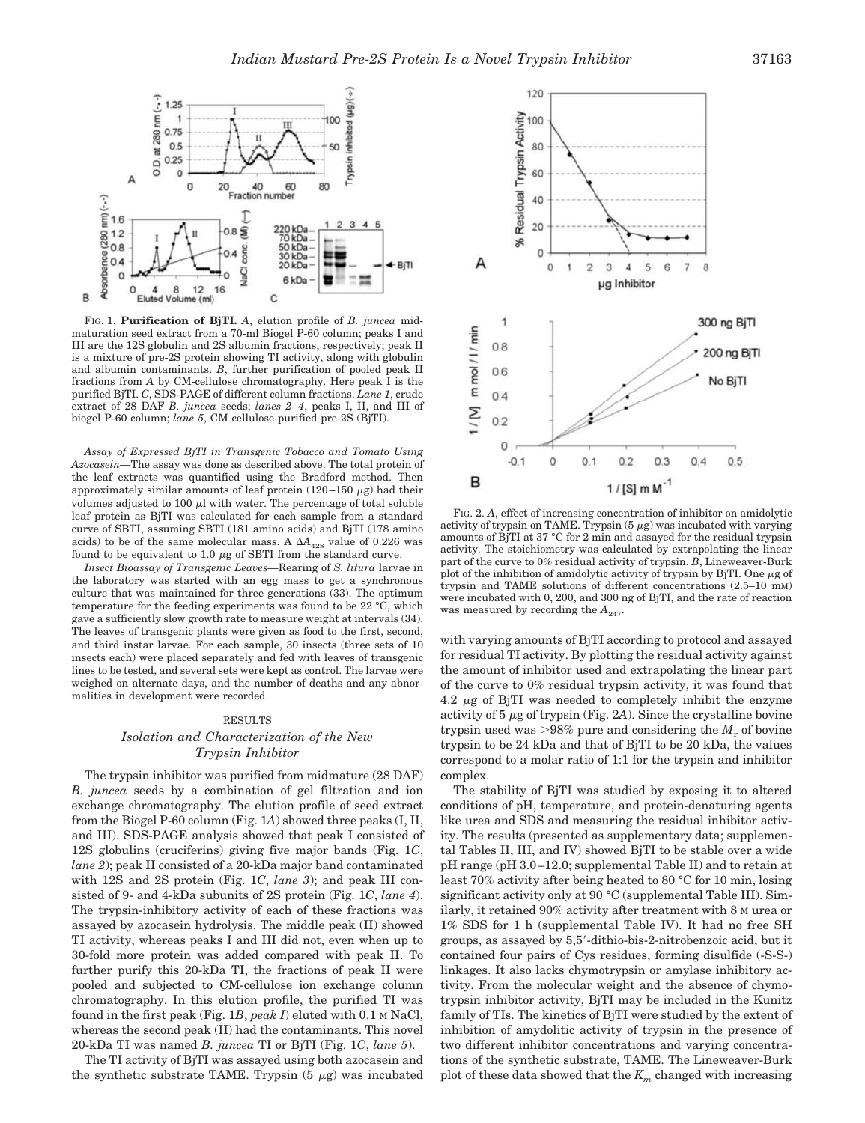

FIG. 1. **Purification of BjTI.** *A*, elution profile of *B. juncea* midmaturation seed extract from a 70-ml Biogel P-60 column; peaks I and III are the 12S globulin and 2S albumin fractions, respectively; peak II is a mixture of pre-2S protein showing TI activity, along with globulin and albumin contaminants. *B*, further purification of pooled peak II fractions from *A* by CM-cellulose chromatography. Here peak I is the purified BjTI. *C*, SDS-PAGE of different column fractions. *Lane 1*, crude extract of 28 DAF *B. juncea* seeds; *lanes 2–4*, peaks I, II, and III of biogel P-60 column; *lane 5*, CM cellulose-purified pre-2S (BjTI).

*Assay of Expressed BjTI in Transgenic Tobacco and Tomato Using Azocasein—*The assay was done as described above. The total protein of the leaf extracts was quantified using the Bradford method. Then approximately similar amounts of leaf protein  $(120-150 \mu g)$  had their volumes adjusted to 100  $\mu$ l with water. The percentage of total soluble leaf protein as BjTI was calculated for each sample from a standard curve of SBTI, assuming SBTI (181 amino acids) and BjTI (178 amino acids) to be of the same molecular mass. A  $\Delta A_{428}$  value of 0.226 was found to be equivalent to 1.0  $\mu$ g of SBTI from the standard curve.

*Insect Bioassay of Transgenic Leaves—*Rearing of *S. litura* larvae in the laboratory was started with an egg mass to get a synchronous culture that was maintained for three generations (33). The optimum temperature for the feeding experiments was found to be 22 °C, which gave a sufficiently slow growth rate to measure weight at intervals (34). The leaves of transgenic plants were given as food to the first, second, and third instar larvae. For each sample, 30 insects (three sets of 10 insects each) were placed separately and fed with leaves of transgenic lines to be tested, and several sets were kept as control. The larvae were weighed on alternate days, and the number of deaths and any abnormalities in development were recorded.

#### RESULTS

## *Isolation and Characterization of the New Trypsin Inhibitor*

The trypsin inhibitor was purified from midmature (28 DAF) *B. juncea* seeds by a combination of gel filtration and ion exchange chromatography. The elution profile of seed extract from the Biogel P-60 column (Fig. 1*A*) showed three peaks (I, II, and III). SDS-PAGE analysis showed that peak I consisted of 12S globulins (cruciferins) giving five major bands (Fig. 1*C*, *lane 2*); peak II consisted of a 20-kDa major band contaminated with 12S and 2S protein (Fig. 1*C*, *lane 3*); and peak III consisted of 9- and 4-kDa subunits of 2S protein (Fig. 1*C*, *lane 4*). The trypsin-inhibitory activity of each of these fractions was assayed by azocasein hydrolysis. The middle peak (II) showed TI activity, whereas peaks I and III did not, even when up to 30-fold more protein was added compared with peak II. To further purify this 20-kDa TI, the fractions of peak II were pooled and subjected to CM-cellulose ion exchange column chromatography. In this elution profile, the purified TI was found in the first peak (Fig. 1*B*, *peak I*) eluted with 0.1 M NaCl, whereas the second peak (II) had the contaminants. This novel 20-kDa TI was named *B. juncea* TI or BjTI (Fig. 1*C*, *lane 5*).

The TI activity of BjTI was assayed using both azocasein and the synthetic substrate TAME. Trypsin  $(5 \mu g)$  was incubated



FIG. 2. *A*, effect of increasing concentration of inhibitor on amidolytic activity of trypsin on TAME. Trypsin  $(5 \mu g)$  was incubated with varying amounts of BjTI at 37 °C for 2 min and assayed for the residual trypsin activity. The stoichiometry was calculated by extrapolating the linear part of the curve to 0% residual activity of trypsin. *B*, Lineweaver-Burk plot of the inhibition of amidolytic activity of trypsin by BjTI. One  $\mu$ g of trypsin and TAME solutions of different concentrations (2.5–10 mM) were incubated with 0, 200, and 300 ng of BjTI, and the rate of reaction was measured by recording the  $A_{247}$ .

with varying amounts of BjTI according to protocol and assayed for residual TI activity. By plotting the residual activity against the amount of inhibitor used and extrapolating the linear part of the curve to 0% residual trypsin activity, it was found that  $4.2 \mu$ g of BjTI was needed to completely inhibit the enzyme activity of  $5 \mu$ g of trypsin (Fig. 2A). Since the crystalline bovine trypsin used was  $>98\%$  pure and considering the  $M_r$  of bovine trypsin to be 24 kDa and that of BjTI to be 20 kDa, the values correspond to a molar ratio of 1:1 for the trypsin and inhibitor complex.

The stability of BjTI was studied by exposing it to altered conditions of pH, temperature, and protein-denaturing agents like urea and SDS and measuring the residual inhibitor activity. The results (presented as supplementary data; supplemental Tables II, III, and IV) showed BjTI to be stable over a wide pH range (pH 3.0–12.0; supplemental Table II) and to retain at least 70% activity after being heated to 80 °C for 10 min, losing significant activity only at 90 °C (supplemental Table III). Similarly, it retained 90% activity after treatment with 8 M urea or 1% SDS for 1 h (supplemental Table IV). It had no free SH groups, as assayed by 5,5-dithio-bis-2-nitrobenzoic acid, but it contained four pairs of Cys residues, forming disulfide (-S-S-) linkages. It also lacks chymotrypsin or amylase inhibitory activity. From the molecular weight and the absence of chymotrypsin inhibitor activity, BjTI may be included in the Kunitz family of TIs. The kinetics of BjTI were studied by the extent of inhibition of amydolitic activity of trypsin in the presence of two different inhibitor concentrations and varying concentrations of the synthetic substrate, TAME. The Lineweaver-Burk plot of these data showed that the *K<sup>m</sup>* changed with increasing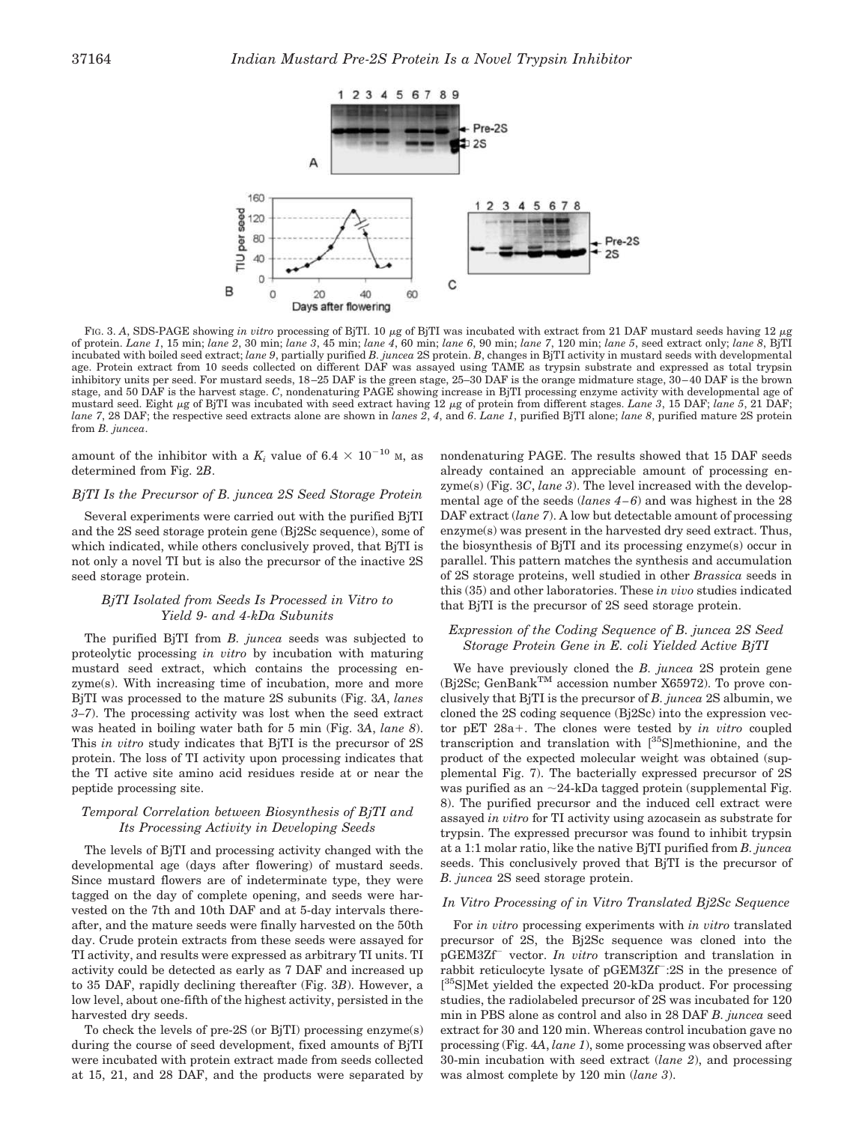

FIG. 3. A, SDS-PAGE showing *in vitro* processing of BjTI. 10 μg of BjTI was incubated with extract from 21 DAF mustard seeds having 12 μg of protein. *Lane 1*, 15 min; *lane 2*, 30 min; *lane 3*, 45 min; *lane 4*, 60 min; *lane 6*, 90 min; *lane 7*, 120 min; *lane 5*, seed extract only; *lane 8*, BjTI incubated with boiled seed extract; *lane 9*, partially purified *B. juncea* 2S protein. *B*, changes in BjTI activity in mustard seeds with developmental age. Protein extract from 10 seeds collected on different DAF was assayed using TAME as trypsin substrate and expressed as total trypsin inhibitory units per seed. For mustard seeds, 18–25 DAF is the green stage, 25–30 DAF is the orange midmature stage, 30–40 DAF is the brown stage, and 50 DAF is the harvest stage. *C*, nondenaturing PAGE showing increase in BjTI processing enzyme activity with developmental age of mustard seed. Eight µg of BjTI was incubated with seed extract having 12 µg of protein from different stages. *Lane 3*, 15 DAF; *lane 5*, 21 DAF; *lane 7*, 28 DAF; the respective seed extracts alone are shown in *lanes 2*, *4*, and *6*. *Lane 1*, purified BjTI alone; *lane 8*, purified mature 2S protein from *B. juncea*.

amount of the inhibitor with a  $K_i$  value of 6.4  $\times$  10<sup>-10</sup> M, as determined from Fig. 2*B*.

#### *BjTI Is the Precursor of B. juncea 2S Seed Storage Protein*

Several experiments were carried out with the purified BjTI and the 2S seed storage protein gene (Bj2Sc sequence), some of which indicated, while others conclusively proved, that BjTI is not only a novel TI but is also the precursor of the inactive 2S seed storage protein.

## *BjTI Isolated from Seeds Is Processed in Vitro to Yield 9- and 4-kDa Subunits*

The purified BjTI from *B. juncea* seeds was subjected to proteolytic processing *in vitro* by incubation with maturing mustard seed extract, which contains the processing enzyme(s). With increasing time of incubation, more and more BjTI was processed to the mature 2S subunits (Fig. 3*A*, *lanes 3–7*). The processing activity was lost when the seed extract was heated in boiling water bath for 5 min (Fig. 3*A*, *lane 8*). This *in vitro* study indicates that BjTI is the precursor of 2S protein. The loss of TI activity upon processing indicates that the TI active site amino acid residues reside at or near the peptide processing site.

# *Temporal Correlation between Biosynthesis of BjTI and Its Processing Activity in Developing Seeds*

The levels of BjTI and processing activity changed with the developmental age (days after flowering) of mustard seeds. Since mustard flowers are of indeterminate type, they were tagged on the day of complete opening, and seeds were harvested on the 7th and 10th DAF and at 5-day intervals thereafter, and the mature seeds were finally harvested on the 50th day. Crude protein extracts from these seeds were assayed for TI activity, and results were expressed as arbitrary TI units. TI activity could be detected as early as 7 DAF and increased up to 35 DAF, rapidly declining thereafter (Fig. 3*B*). However, a low level, about one-fifth of the highest activity, persisted in the harvested dry seeds.

To check the levels of pre-2S (or BjTI) processing enzyme(s) during the course of seed development, fixed amounts of BjTI were incubated with protein extract made from seeds collected at 15, 21, and 28 DAF, and the products were separated by

nondenaturing PAGE. The results showed that 15 DAF seeds already contained an appreciable amount of processing enzyme(s) (Fig. 3*C*, *lane 3*). The level increased with the developmental age of the seeds (*lanes 4–6*) and was highest in the 28 DAF extract (*lane 7*). A low but detectable amount of processing enzyme(s) was present in the harvested dry seed extract. Thus, the biosynthesis of BjTI and its processing enzyme(s) occur in parallel. This pattern matches the synthesis and accumulation of 2S storage proteins, well studied in other *Brassica* seeds in this (35) and other laboratories. These *in vivo* studies indicated that BjTI is the precursor of 2S seed storage protein.

#### *Expression of the Coding Sequence of B. juncea 2S Seed Storage Protein Gene in E. coli Yielded Active BjTI*

We have previously cloned the *B. juncea* 2S protein gene (Bj2Sc; GenBank<sup>TM</sup> accession number X65972). To prove conclusively that BjTI is the precursor of *B. juncea* 2S albumin, we cloned the 2S coding sequence (Bj2Sc) into the expression vector pET 28a<sup>+</sup>. The clones were tested by *in vitro* coupled transcription and translation with [35S]methionine, and the product of the expected molecular weight was obtained (supplemental Fig. 7). The bacterially expressed precursor of 2S was purified as an  $\sim$ 24-kDa tagged protein (supplemental Fig. 8). The purified precursor and the induced cell extract were assayed *in vitro* for TI activity using azocasein as substrate for trypsin. The expressed precursor was found to inhibit trypsin at a 1:1 molar ratio, like the native BjTI purified from *B. juncea* seeds. This conclusively proved that BjTI is the precursor of *B. juncea* 2S seed storage protein.

# *In Vitro Processing of in Vitro Translated Bj2Sc Sequence*

For *in vitro* processing experiments with *in vitro* translated precursor of 2S, the Bj2Sc sequence was cloned into the pGEM3Zf vector. *In vitro* transcription and translation in rabbit reticulocyte lysate of pGEM3Zf :2S in the presence of [<sup>35</sup>S]Met yielded the expected 20-kDa product. For processing studies, the radiolabeled precursor of 2S was incubated for 120 min in PBS alone as control and also in 28 DAF *B. juncea* seed extract for 30 and 120 min. Whereas control incubation gave no processing (Fig. 4*A*, *lane 1*), some processing was observed after 30-min incubation with seed extract (*lane 2*), and processing was almost complete by 120 min (*lane 3*).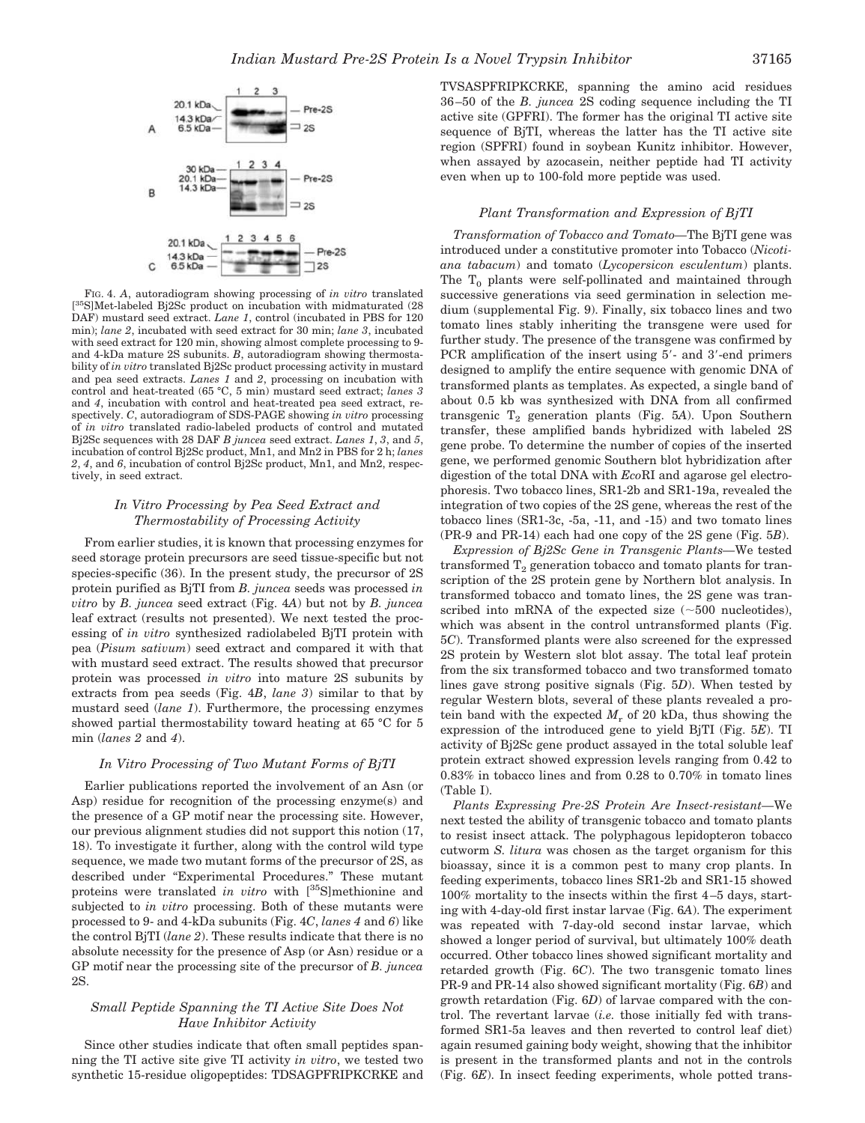

FIG. 4. *A*, autoradiogram showing processing of *in vitro* translated [ <sup>35</sup>S]Met-labeled Bj2Sc product on incubation with midmaturated (28 DAF) mustard seed extract. *Lane 1*, control (incubated in PBS for 120 min); *lane 2*, incubated with seed extract for 30 min; *lane 3*, incubated with seed extract for 120 min, showing almost complete processing to 9 and 4-kDa mature 2S subunits. *B*, autoradiogram showing thermostability of *in vitro* translated Bj2Sc product processing activity in mustard and pea seed extracts. *Lanes 1* and *2*, processing on incubation with control and heat-treated (65 °C, 5 min) mustard seed extract; *lanes 3* and *4*, incubation with control and heat-treated pea seed extract, respectively. *C*, autoradiogram of SDS-PAGE showing *in vitro* processing of *in vitro* translated radio-labeled products of control and mutated Bj2Sc sequences with 28 DAF *B juncea* seed extract. *Lanes 1*, *3*, and *5*, incubation of control Bj2Sc product, Mn1, and Mn2 in PBS for 2 h; *lanes 2*, *4*, and *6*, incubation of control Bj2Sc product, Mn1, and Mn2, respectively, in seed extract.

#### *In Vitro Processing by Pea Seed Extract and Thermostability of Processing Activity*

From earlier studies, it is known that processing enzymes for seed storage protein precursors are seed tissue-specific but not species-specific (36). In the present study, the precursor of 2S protein purified as BjTI from *B. juncea* seeds was processed *in vitro* by *B. juncea* seed extract (Fig. 4*A*) but not by *B. juncea* leaf extract (results not presented). We next tested the processing of *in vitro* synthesized radiolabeled BjTI protein with pea (*Pisum sativum*) seed extract and compared it with that with mustard seed extract. The results showed that precursor protein was processed *in vitro* into mature 2S subunits by extracts from pea seeds (Fig. 4*B*, *lane 3*) similar to that by mustard seed (*lane 1*). Furthermore, the processing enzymes showed partial thermostability toward heating at 65 °C for 5 min (*lanes 2* and *4*).

#### *In Vitro Processing of Two Mutant Forms of BjTI*

Earlier publications reported the involvement of an Asn (or Asp) residue for recognition of the processing enzyme(s) and the presence of a GP motif near the processing site. However, our previous alignment studies did not support this notion (17, 18). To investigate it further, along with the control wild type sequence, we made two mutant forms of the precursor of 2S, as described under "Experimental Procedures." These mutant proteins were translated *in vitro* with [<sup>35</sup>S]methionine and subjected to *in vitro* processing. Both of these mutants were processed to 9- and 4-kDa subunits (Fig. 4*C*, *lanes 4* and *6*) like the control BjTI (*lane 2*). These results indicate that there is no absolute necessity for the presence of Asp (or Asn) residue or a GP motif near the processing site of the precursor of *B. juncea* 2S.

# *Small Peptide Spanning the TI Active Site Does Not Have Inhibitor Activity*

Since other studies indicate that often small peptides spanning the TI active site give TI activity *in vitro*, we tested two synthetic 15-residue oligopeptides: TDSAGPFRIPKCRKE and TVSASPFRIPKCRKE, spanning the amino acid residues 36–50 of the *B. juncea* 2S coding sequence including the TI active site (GPFRI). The former has the original TI active site sequence of BjTI, whereas the latter has the TI active site region (SPFRI) found in soybean Kunitz inhibitor. However, when assayed by azocasein, neither peptide had TI activity even when up to 100-fold more peptide was used.

#### *Plant Transformation and Expression of BjTI*

*Transformation of Tobacco and Tomato—*The BjTI gene was introduced under a constitutive promoter into Tobacco (*Nicotiana tabacum*) and tomato (*Lycopersicon esculentum*) plants. The  $T_0$  plants were self-pollinated and maintained through successive generations via seed germination in selection medium (supplemental Fig. 9). Finally, six tobacco lines and two tomato lines stably inheriting the transgene were used for further study. The presence of the transgene was confirmed by PCR amplification of the insert using 5'- and 3'-end primers designed to amplify the entire sequence with genomic DNA of transformed plants as templates. As expected, a single band of about 0.5 kb was synthesized with DNA from all confirmed transgenic  $T_2$  generation plants (Fig. 5A). Upon Southern transfer, these amplified bands hybridized with labeled 2S gene probe. To determine the number of copies of the inserted gene, we performed genomic Southern blot hybridization after digestion of the total DNA with *Eco*RI and agarose gel electrophoresis. Two tobacco lines, SR1-2b and SR1-19a, revealed the integration of two copies of the 2S gene, whereas the rest of the tobacco lines (SR1-3c, -5a, -11, and -15) and two tomato lines (PR-9 and PR-14) each had one copy of the 2S gene (Fig. 5*B*).

*Expression of Bj2Sc Gene in Transgenic Plants—*We tested transformed  $T_2$  generation tobacco and tomato plants for transcription of the 2S protein gene by Northern blot analysis. In transformed tobacco and tomato lines, the 2S gene was transcribed into mRNA of the expected size  $(\sim 500$  nucleotides), which was absent in the control untransformed plants (Fig. 5*C*). Transformed plants were also screened for the expressed 2S protein by Western slot blot assay. The total leaf protein from the six transformed tobacco and two transformed tomato lines gave strong positive signals (Fig. 5*D*). When tested by regular Western blots, several of these plants revealed a protein band with the expected  $M_r$  of 20 kDa, thus showing the expression of the introduced gene to yield BjTI (Fig. 5*E*). TI activity of Bj2Sc gene product assayed in the total soluble leaf protein extract showed expression levels ranging from 0.42 to 0.83% in tobacco lines and from 0.28 to 0.70% in tomato lines (Table I).

*Plants Expressing Pre-2S Protein Are Insect-resistant—*We next tested the ability of transgenic tobacco and tomato plants to resist insect attack. The polyphagous lepidopteron tobacco cutworm *S. litura* was chosen as the target organism for this bioassay, since it is a common pest to many crop plants. In feeding experiments, tobacco lines SR1-2b and SR1-15 showed 100% mortality to the insects within the first 4–5 days, starting with 4-day-old first instar larvae (Fig. 6*A*). The experiment was repeated with 7-day-old second instar larvae, which showed a longer period of survival, but ultimately 100% death occurred. Other tobacco lines showed significant mortality and retarded growth (Fig. 6*C*). The two transgenic tomato lines PR-9 and PR-14 also showed significant mortality (Fig. 6*B*) and growth retardation (Fig. 6*D*) of larvae compared with the control. The revertant larvae (*i.e.* those initially fed with transformed SR1-5a leaves and then reverted to control leaf diet) again resumed gaining body weight, showing that the inhibitor is present in the transformed plants and not in the controls (Fig. 6*E*). In insect feeding experiments, whole potted trans-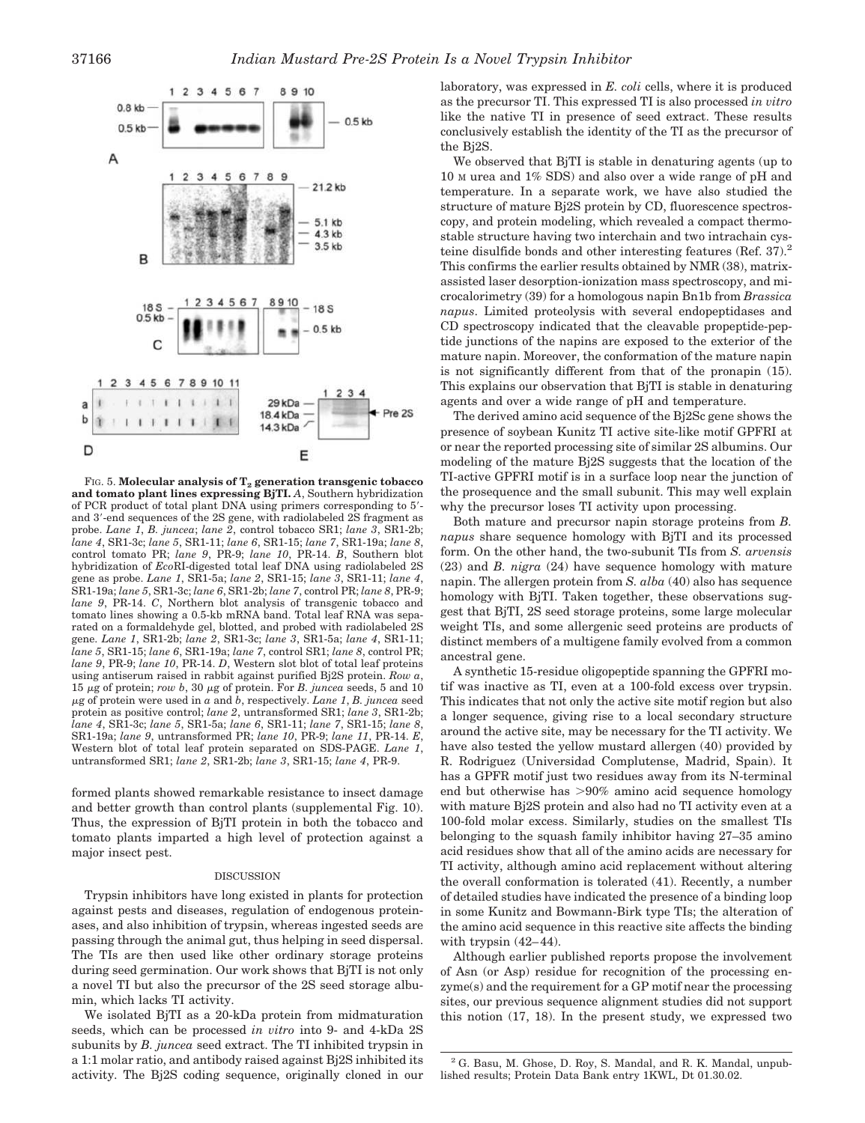

FIG. 5. **Molecular analysis of T<sup>2</sup> generation transgenic tobacco and tomato plant lines expressing BjTI.** *A*, Southern hybridization of PCR product of total plant DNA using primers corresponding to 5 and 3'-end sequences of the 2S gene, with radiolabeled 2S fragment as probe. *Lane 1*, *B. juncea*; *lane 2*, control tobacco SR1; *lane 3*, SR1-2b; *lane 4*, SR1-3c; *lane 5*, SR1-11; *lane 6*, SR1-15; *lane 7*, SR1-19a; *lane 8*, control tomato PR; *lane 9*, PR-9; *lane 10*, PR-14. *B*, Southern blot hybridization of *Eco*RI-digested total leaf DNA using radiolabeled 2S gene as probe. *Lane 1*, SR1-5a; *lane 2*, SR1-15; *lane 3*, SR1-11; *lane 4*, SR1-19a; *lane 5*, SR1-3c; *lane 6*, SR1-2b; *lane 7*, control PR; *lane 8*, PR-9; *lane 9*, PR-14. *C*, Northern blot analysis of transgenic tobacco and tomato lines showing a 0.5-kb mRNA band. Total leaf RNA was separated on a formaldehyde gel, blotted, and probed with radiolabeled 2S gene. *Lane 1*, SR1-2b; *lane 2*, SR1-3c; *lane 3*, SR1-5a; *lane 4*, SR1-11; *lane 5*, SR1-15; *lane 6*, SR1-19a; *lane 7*, control SR1; *lane 8*, control PR; *lane 9*, PR-9; *lane 10*, PR-14. *D*, Western slot blot of total leaf proteins using antiserum raised in rabbit against purified Bj2S protein. *Row a*,  $15 \mu$ g of protein; *row b*,  $30 \mu$ g of protein. For *B. juncea* seeds,  $5$  and  $10$ -g of protein were used in *a* and *b*, respectively. *Lane 1*, *B. juncea* seed protein as positive control; *lane 2*, untransformed SR1; *lane 3*, SR1-2b; *lane 4*, SR1-3c; *lane 5*, SR1-5a; *lane 6*, SR1-11; *lane 7*, SR1-15; *lane 8*, SR1-19a; *lane 9*, untransformed PR; *lane 10*, PR-9; *lane 11*, PR-14. *E*, Western blot of total leaf protein separated on SDS-PAGE. *Lane 1*, untransformed SR1; *lane 2*, SR1-2b; *lane 3*, SR1-15; *lane 4*, PR-9.

formed plants showed remarkable resistance to insect damage and better growth than control plants (supplemental Fig. 10). Thus, the expression of BjTI protein in both the tobacco and tomato plants imparted a high level of protection against a major insect pest.

#### **DISCUSSION**

Trypsin inhibitors have long existed in plants for protection against pests and diseases, regulation of endogenous proteinases, and also inhibition of trypsin, whereas ingested seeds are passing through the animal gut, thus helping in seed dispersal. The TIs are then used like other ordinary storage proteins during seed germination. Our work shows that BjTI is not only a novel TI but also the precursor of the 2S seed storage albumin, which lacks TI activity.

We isolated BjTI as a 20-kDa protein from midmaturation seeds, which can be processed *in vitro* into 9- and 4-kDa 2S subunits by *B. juncea* seed extract. The TI inhibited trypsin in a 1:1 molar ratio, and antibody raised against Bj2S inhibited its activity. The Bj2S coding sequence, originally cloned in our laboratory, was expressed in *E. coli* cells, where it is produced as the precursor TI. This expressed TI is also processed *in vitro* like the native TI in presence of seed extract. These results conclusively establish the identity of the TI as the precursor of the Bj2S.

We observed that BjTI is stable in denaturing agents (up to 10 M urea and 1% SDS) and also over a wide range of pH and temperature. In a separate work, we have also studied the structure of mature Bj2S protein by CD, fluorescence spectroscopy, and protein modeling, which revealed a compact thermostable structure having two interchain and two intrachain cysteine disulfide bonds and other interesting features (Ref. 37).<sup>2</sup> This confirms the earlier results obtained by NMR (38), matrixassisted laser desorption-ionization mass spectroscopy, and microcalorimetry (39) for a homologous napin Bn1b from *Brassica napus*. Limited proteolysis with several endopeptidases and CD spectroscopy indicated that the cleavable propeptide-peptide junctions of the napins are exposed to the exterior of the mature napin. Moreover, the conformation of the mature napin is not significantly different from that of the pronapin (15). This explains our observation that BjTI is stable in denaturing agents and over a wide range of pH and temperature.

The derived amino acid sequence of the Bj2Sc gene shows the presence of soybean Kunitz TI active site-like motif GPFRI at or near the reported processing site of similar 2S albumins. Our modeling of the mature Bj2S suggests that the location of the TI-active GPFRI motif is in a surface loop near the junction of the prosequence and the small subunit. This may well explain why the precursor loses TI activity upon processing.

Both mature and precursor napin storage proteins from *B. napus* share sequence homology with BjTI and its processed form. On the other hand, the two-subunit TIs from *S. arvensis* (23) and *B. nigra* (24) have sequence homology with mature napin. The allergen protein from *S. alba* (40) also has sequence homology with BjTI. Taken together, these observations suggest that BjTI, 2S seed storage proteins, some large molecular weight TIs, and some allergenic seed proteins are products of distinct members of a multigene family evolved from a common ancestral gene.

A synthetic 15-residue oligopeptide spanning the GPFRI motif was inactive as TI, even at a 100-fold excess over trypsin. This indicates that not only the active site motif region but also a longer sequence, giving rise to a local secondary structure around the active site, may be necessary for the TI activity. We have also tested the yellow mustard allergen (40) provided by R. Rodriguez (Universidad Complutense, Madrid, Spain). It has a GPFR motif just two residues away from its N-terminal end but otherwise has  $>90\%$  amino acid sequence homology with mature Bj2S protein and also had no TI activity even at a 100-fold molar excess. Similarly, studies on the smallest TIs belonging to the squash family inhibitor having 27–35 amino acid residues show that all of the amino acids are necessary for TI activity, although amino acid replacement without altering the overall conformation is tolerated (41). Recently, a number of detailed studies have indicated the presence of a binding loop in some Kunitz and Bowmann-Birk type TIs; the alteration of the amino acid sequence in this reactive site affects the binding with trypsin  $(42-44)$ .

Although earlier published reports propose the involvement of Asn (or Asp) residue for recognition of the processing enzyme(s) and the requirement for a GP motif near the processing sites, our previous sequence alignment studies did not support this notion (17, 18). In the present study, we expressed two

<sup>2</sup> G. Basu, M. Ghose, D. Roy, S. Mandal, and R. K. Mandal, unpublished results; Protein Data Bank entry 1KWL, Dt 01.30.02.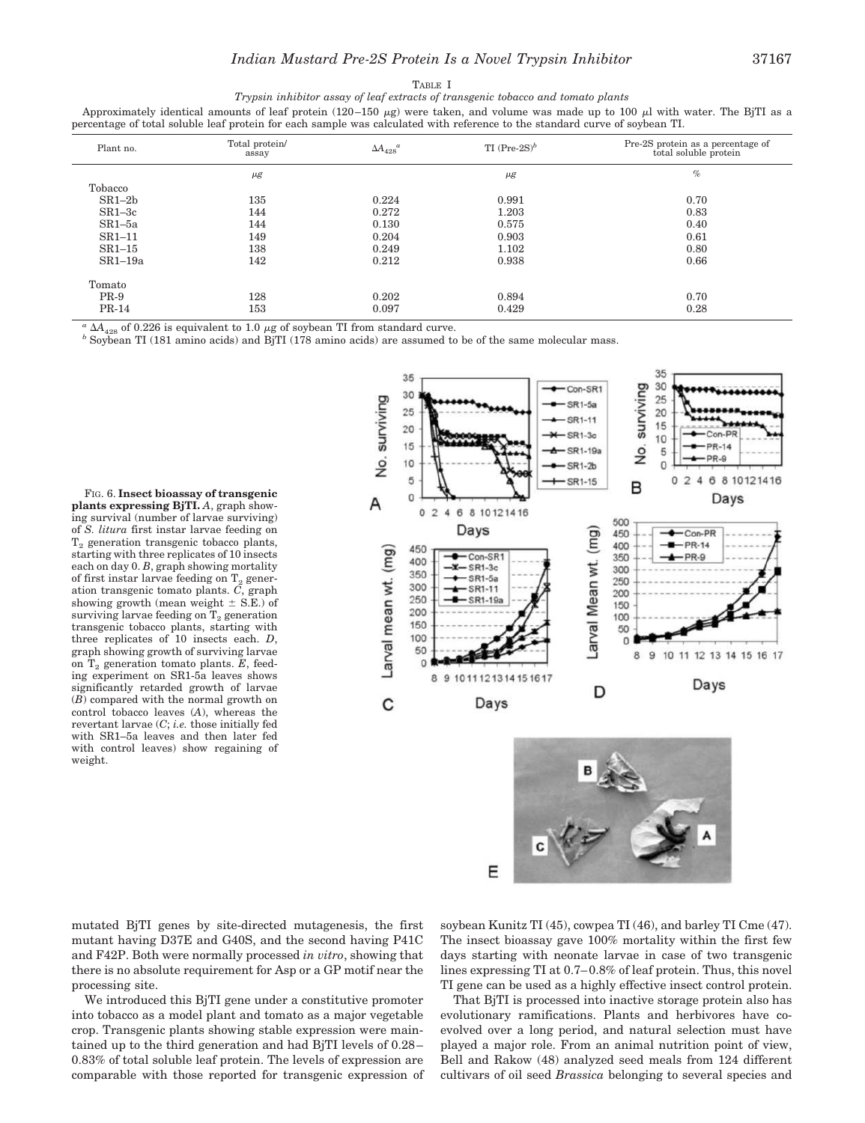TABLE I *Trypsin inhibitor assay of leaf extracts of transgenic tobacco and tomato plants*

Approximately identical amounts of leaf protein (120–150  $\mu$ g) were taken, and volume was made up to 100  $\mu$ l with water. The BjTI as a percentage of total soluble leaf protein for each sample was calculated with reference to the standard curve of soybean TI.

| Plant no. | Total protein/<br>assay | $\Delta A_{428}^{\phantom{1}}^a$ | TI $(Pre-2S)^b$ | Pre-2S protein as a percentage of<br>total soluble protein |
|-----------|-------------------------|----------------------------------|-----------------|------------------------------------------------------------|
|           | $\mu$ g                 |                                  | $\mu$ g         | $\%$                                                       |
| Tobacco   |                         |                                  |                 |                                                            |
| $SR1-2b$  | 135                     | 0.224                            | 0.991           | 0.70                                                       |
| $SR1-3c$  | 144                     | 0.272                            | 1.203           | 0.83                                                       |
| $SR1-5a$  | 144                     | 0.130                            | 0.575           | 0.40                                                       |
| $SR1-11$  | 149                     | 0.204                            | 0.903           | 0.61                                                       |
| $SR1-15$  | 138                     | 0.249                            | 1.102           | 0.80                                                       |
| $SR1-19a$ | 142                     | 0.212                            | 0.938           | 0.66                                                       |
| Tomato    |                         |                                  |                 |                                                            |
| $PR-9$    | 128                     | 0.202                            | 0.894           | 0.70                                                       |
| $PR-14$   | 153                     | 0.097                            | 0.429           | 0.28                                                       |
|           |                         |                                  |                 |                                                            |

 $\alpha$   $\Delta A_{428}$  of 0.226 is equivalent to 1.0  $\mu$ g of soybean TI from standard curve.

*<sup>b</sup>* Soybean TI (181 amino acids) and BjTI (178 amino acids) are assumed to be of the same molecular mass.

FIG. 6. **Insect bioassay of transgenic plants expressing BjTI.** *A*, graph showing survival (number of larvae surviving) of *S. litura* first instar larvae feeding on  $T<sub>2</sub>$  generation transgenic tobacco plants, starting with three replicates of 10 insects each on day 0. *B*, graph showing mortality of first instar larvae feeding on  $T_2$  generation transgenic tomato plants. *C*, graph showing growth (mean weight  $\pm$  S.E.) of surviving larvae feeding on  $T_2$  generation transgenic tobacco plants, starting with three replicates of 10 insects each. *D*, graph showing growth of surviving larvae on T<sub>2</sub> generation tomato plants. *E*, feeding experiment on SR1-5a leaves shows significantly retarded growth of larvae (*B*) compared with the normal growth on control tobacco leaves (*A*), whereas the revertant larvae (*C*; *i.e.* those initially fed with SR1–5a leaves and then later fed with control leaves) show regaining of weight.



mutated BjTI genes by site-directed mutagenesis, the first mutant having D37E and G40S, and the second having P41C and F42P. Both were normally processed *in vitro*, showing that there is no absolute requirement for Asp or a GP motif near the processing site.

We introduced this BjTI gene under a constitutive promoter into tobacco as a model plant and tomato as a major vegetable crop. Transgenic plants showing stable expression were maintained up to the third generation and had BjTI levels of 0.28– 0.83% of total soluble leaf protein. The levels of expression are comparable with those reported for transgenic expression of soybean Kunitz TI (45), cowpea TI (46), and barley TI Cme (47). The insect bioassay gave 100% mortality within the first few days starting with neonate larvae in case of two transgenic lines expressing TI at 0.7–0.8% of leaf protein. Thus, this novel TI gene can be used as a highly effective insect control protein.

That BjTI is processed into inactive storage protein also has evolutionary ramifications. Plants and herbivores have coevolved over a long period, and natural selection must have played a major role. From an animal nutrition point of view, Bell and Rakow (48) analyzed seed meals from 124 different cultivars of oil seed *Brassica* belonging to several species and